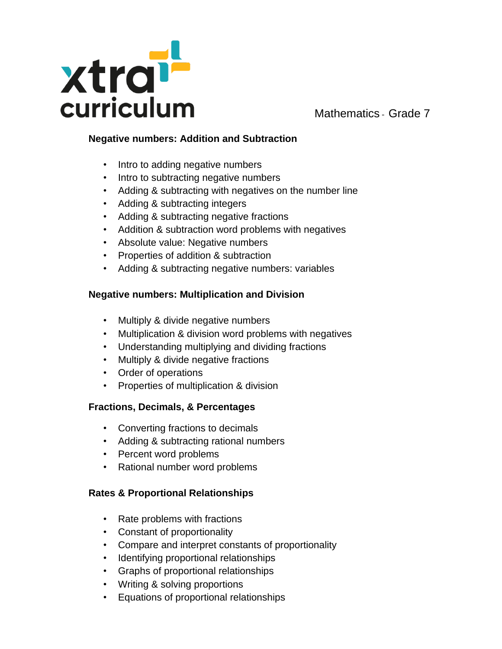

### **Negative numbers: Addition and Subtraction**

- Intro to adding negative numbers
- Intro to subtracting negative numbers
- Adding & subtracting with negatives on the number line
- Adding & subtracting integers
- Adding & subtracting negative fractions
- Addition & subtraction word problems with negatives
- Absolute value: Negative numbers
- Properties of addition & subtraction
- Adding & subtracting negative numbers: variables

### **Negative numbers: Multiplication and Division**

- Multiply & divide negative numbers
- Multiplication & division word problems with negatives
- Understanding multiplying and dividing fractions
- Multiply & divide negative fractions
- Order of operations
- Properties of multiplication & division

# **Fractions, Decimals, & Percentages**

- Converting fractions to decimals
- Adding & subtracting rational numbers
- Percent word problems
- Rational number word problems

# **Rates & Proportional Relationships**

- Rate problems with fractions
- Constant of proportionality
- Compare and interpret constants of proportionality
- Identifying proportional relationships
- Graphs of proportional relationships
- Writing & solving proportions
- Equations of proportional relationships